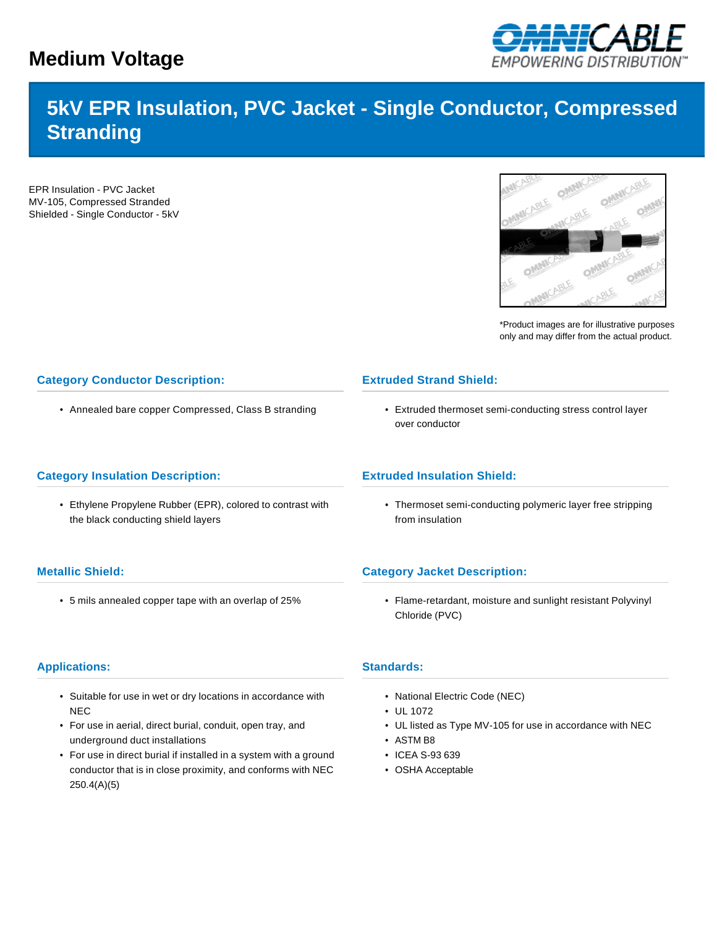# **Medium Voltage**



# **5kV EPR Insulation, PVC Jacket - Single Conductor, Compressed Stranding**

EPR Insulation - PVC Jacket MV-105, Compressed Stranded Shielded - Single Conductor - 5kV



\*Product images are for illustrative purposes only and may differ from the actual product.

# **Category Conductor Description:**

• Annealed bare copper Compressed, Class B stranding

# **Category Insulation Description:**

• Ethylene Propylene Rubber (EPR), colored to contrast with the black conducting shield layers

# **Extruded Strand Shield:**

• Extruded thermoset semi-conducting stress control layer over conductor

#### **Extruded Insulation Shield:**

• Thermoset semi-conducting polymeric layer free stripping from insulation

#### **Metallic Shield:**

• 5 mils annealed copper tape with an overlap of 25%

# **Category Jacket Description:**

• Flame-retardant, moisture and sunlight resistant Polyvinyl Chloride (PVC)

### **Applications:**

- Suitable for use in wet or dry locations in accordance with NEC
- For use in aerial, direct burial, conduit, open tray, and underground duct installations
- For use in direct burial if installed in a system with a ground conductor that is in close proximity, and conforms with NEC 250.4(A)(5)

#### **Standards:**

- National Electric Code (NEC)
- UL 1072
- UL listed as Type MV-105 for use in accordance with NEC
- ASTM B8
- ICEA S-93 639
- OSHA Acceptable